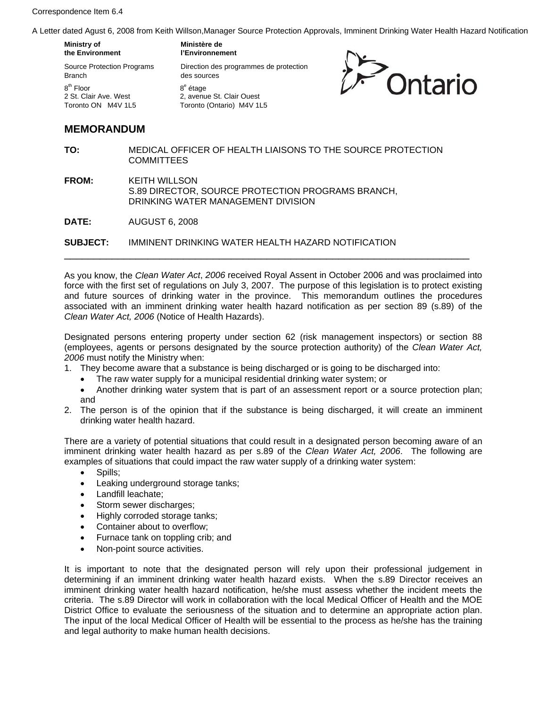Correspondence Item 6.4

A Letter dated Agust 6, 2008 from Keith Willson,Manager Source Protection Approvals, Imminent Drinking Water Health Hazard Notification

de protection

| 20.00 Agost 0, 2000 Hom Roll Princent, Margol Ocal Co P |                            |
|---------------------------------------------------------|----------------------------|
| Ministry of                                             | Ministère de               |
| the Environment                                         | l'Environnement            |
| <b>Source Protection Programs</b>                       | Direction des programmes o |
| Branch                                                  | des sources                |
| 8 <sup>th</sup> Floor                                   | 8 <sup>e</sup> étage       |
| 2 St. Clair Ave. West                                   | 2, avenue St. Clair Ouest  |
| Toronto ON M4V 1L5                                      | Toronto (Ontario) M4V 1L5  |



## **MEMORANDUM**

- **TO:** MEDICAL OFFICER OF HEALTH LIAISONS TO THE SOURCE PROTECTION COMMITTEES
- **FROM:** KEITH WILLSON S.89 DIRECTOR, SOURCE PROTECTION PROGRAMS BRANCH, DRINKING WATER MANAGEMENT DIVISION

**DATE:** AUGUST 6, 2008

**SUBJECT:** IMMINENT DRINKING WATER HEALTH HAZARD NOTIFICATION

As you know, the *Clean Water Act*, *2006* received Royal Assent in October 2006 and was proclaimed into force with the first set of regulations on July 3, 2007. The purpose of this legislation is to protect existing and future sources of drinking water in the province. This memorandum outlines the procedures associated with an imminent drinking water health hazard notification as per section 89 (s.89) of the *Clean Water Act, 2006* (Notice of Health Hazards).

\_\_\_\_\_\_\_\_\_\_\_\_\_\_\_\_\_\_\_\_\_\_\_\_\_\_\_\_\_\_\_\_\_\_\_\_\_\_\_\_\_\_\_\_\_\_\_\_\_\_\_\_\_\_\_\_\_\_\_\_\_\_\_\_\_\_\_\_

Designated persons entering property under section 62 (risk management inspectors) or section 88 (employees, agents or persons designated by the source protection authority) of the *Clean Water Act, 2006* must notify the Ministry when:

- 1. They become aware that a substance is being discharged or is going to be discharged into:
	- The raw water supply for a municipal residential drinking water system; or
	- Another drinking water system that is part of an assessment report or a source protection plan; and
- 2. The person is of the opinion that if the substance is being discharged, it will create an imminent drinking water health hazard.

There are a variety of potential situations that could result in a designated person becoming aware of an imminent drinking water health hazard as per s.89 of the *Clean Water Act, 2006*. The following are examples of situations that could impact the raw water supply of a drinking water system:

- Spills;
- Leaking underground storage tanks;
- Landfill leachate;
- Storm sewer discharges;
- Highly corroded storage tanks;
- Container about to overflow;
- Furnace tank on toppling crib; and
- Non-point source activities.

It is important to note that the designated person will rely upon their professional judgement in determining if an imminent drinking water health hazard exists. When the s.89 Director receives an imminent drinking water health hazard notification, he/she must assess whether the incident meets the criteria. The s.89 Director will work in collaboration with the local Medical Officer of Health and the MOE District Office to evaluate the seriousness of the situation and to determine an appropriate action plan. The input of the local Medical Officer of Health will be essential to the process as he/she has the training and legal authority to make human health decisions.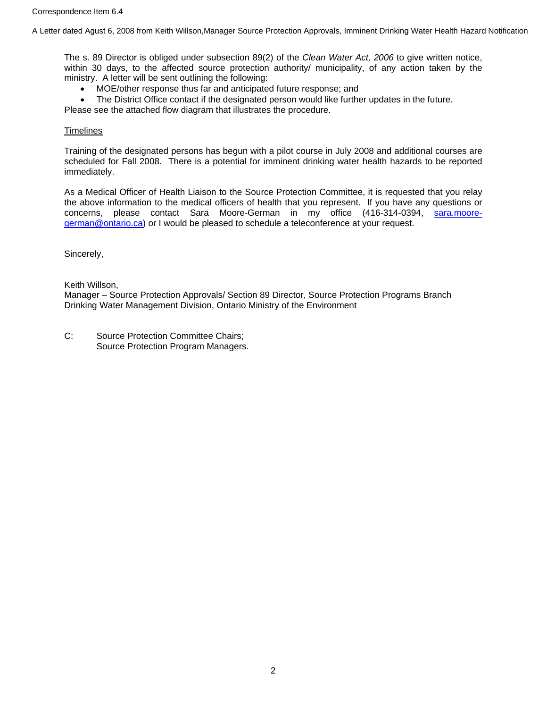A Letter dated Agust 6, 2008 from Keith Willson,Manager Source Protection Approvals, Imminent Drinking Water Health Hazard Notification

The s. 89 Director is obliged under subsection 89(2) of the *Clean Water Act, 2006* to give written notice, within 30 days, to the affected source protection authority/ municipality, of any action taken by the ministry. A letter will be sent outlining the following:

• MOE/other response thus far and anticipated future response; and

• The District Office contact if the designated person would like further updates in the future.

Please see the attached flow diagram that illustrates the procedure.

**Timelines** 

Training of the designated persons has begun with a pilot course in July 2008 and additional courses are scheduled for Fall 2008. There is a potential for imminent drinking water health hazards to be reported immediately.

As a Medical Officer of Health Liaison to the Source Protection Committee, it is requested that you relay the above information to the medical officers of health that you represent. If you have any questions or concerns, please contact Sara Moore-German in my office (416-314-0394, [sara.moore](mailto:sara.moore-german@ontario.ca)[german@ontario.ca\)](mailto:sara.moore-german@ontario.ca) or I would be pleased to schedule a teleconference at your request.

Sincerely,

Keith Willson,

Manager – Source Protection Approvals/ Section 89 Director, Source Protection Programs Branch Drinking Water Management Division, Ontario Ministry of the Environment

C: Source Protection Committee Chairs; Source Protection Program Managers.